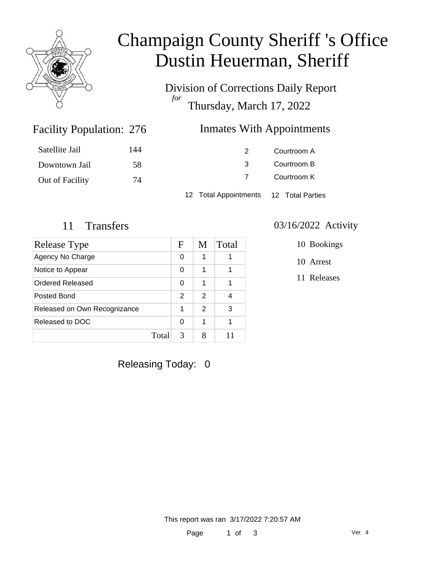

## Champaign County Sheriff 's Office Dustin Heuerman, Sheriff

Division of Corrections Daily Report *for* Thursday, March 17, 2022

### Inmates With Appointments

| Satellite Jail  | 144 |                                        | Courtroom A |
|-----------------|-----|----------------------------------------|-------------|
| Downtown Jail   | 58  |                                        | Courtroom B |
| Out of Facility | 74  |                                        | Courtroom K |
|                 |     | 12 Total Appointments 12 Total Parties |             |

Facility Population: 276

| Release Type                 |       | F | M | Total |
|------------------------------|-------|---|---|-------|
| Agency No Charge             |       | 0 | 1 |       |
| Notice to Appear             |       | 0 | 1 |       |
| Ordered Released             |       | 0 | 1 |       |
| Posted Bond                  |       | 2 | 2 |       |
| Released on Own Recognizance |       | 1 | 2 | 3     |
| Released to DOC              |       | 0 | 1 |       |
|                              | Total | 3 |   |       |

### 11 Transfers 03/16/2022 Activity

10 Bookings

10 Arrest

11 Releases

Releasing Today: 0

This report was ran 3/17/2022 7:20:57 AM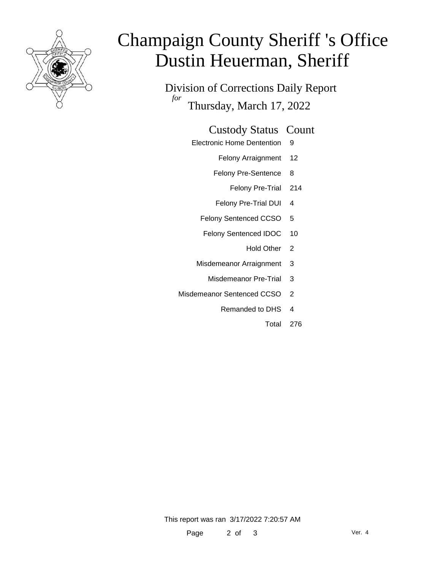

# Champaign County Sheriff 's Office Dustin Heuerman, Sheriff

Division of Corrections Daily Report *for* Thursday, March 17, 2022

#### Custody Status Count

- Electronic Home Dentention 9
	- Felony Arraignment 12
	- Felony Pre-Sentence 8
		- Felony Pre-Trial 214
	- Felony Pre-Trial DUI 4
	- Felony Sentenced CCSO 5
	- Felony Sentenced IDOC 10
		- Hold Other<sub>2</sub>
	- Misdemeanor Arraignment 3
		- Misdemeanor Pre-Trial 3
- Misdemeanor Sentenced CCSO 2
	- Remanded to DHS 4
		- Total 276

This report was ran 3/17/2022 7:20:57 AM